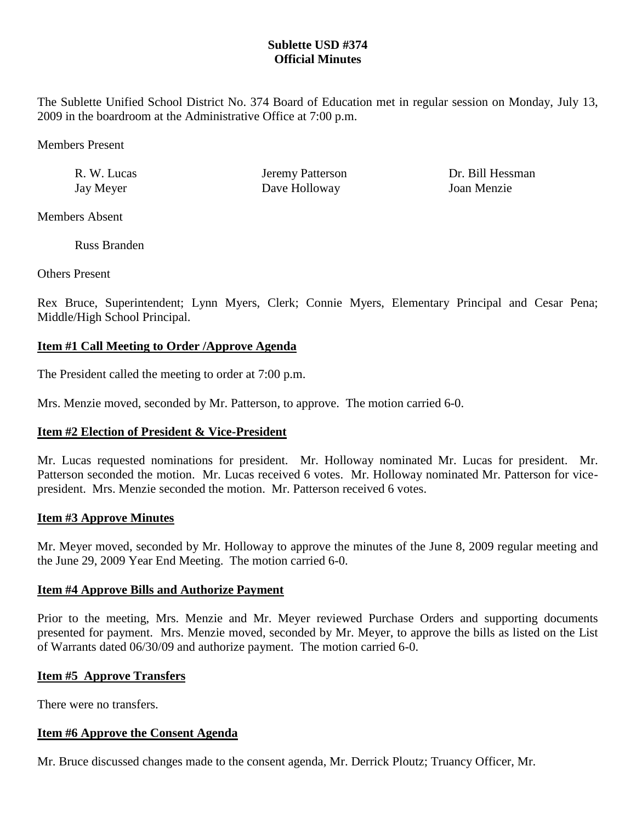## **Sublette USD #374 Official Minutes**

The Sublette Unified School District No. 374 Board of Education met in regular session on Monday, July 13, 2009 in the boardroom at the Administrative Office at 7:00 p.m.

Members Present

Jay Meyer Dave Holloway Joan Menzie

R. W. Lucas **Ieremy Patterson** Dr. Bill Hessman

Members Absent

Russ Branden

Others Present

Rex Bruce, Superintendent; Lynn Myers, Clerk; Connie Myers, Elementary Principal and Cesar Pena; Middle/High School Principal.

# **Item #1 Call Meeting to Order /Approve Agenda**

The President called the meeting to order at 7:00 p.m.

Mrs. Menzie moved, seconded by Mr. Patterson, to approve. The motion carried 6-0.

# **Item #2 Election of President & Vice-President**

Mr. Lucas requested nominations for president. Mr. Holloway nominated Mr. Lucas for president. Mr. Patterson seconded the motion. Mr. Lucas received 6 votes. Mr. Holloway nominated Mr. Patterson for vicepresident. Mrs. Menzie seconded the motion. Mr. Patterson received 6 votes.

# **Item #3 Approve Minutes**

Mr. Meyer moved, seconded by Mr. Holloway to approve the minutes of the June 8, 2009 regular meeting and the June 29, 2009 Year End Meeting. The motion carried 6-0.

## **Item #4 Approve Bills and Authorize Payment**

Prior to the meeting, Mrs. Menzie and Mr. Meyer reviewed Purchase Orders and supporting documents presented for payment. Mrs. Menzie moved, seconded by Mr. Meyer, to approve the bills as listed on the List of Warrants dated 06/30/09 and authorize payment. The motion carried 6-0.

# **Item #5 Approve Transfers**

There were no transfers.

## **Item #6 Approve the Consent Agenda**

Mr. Bruce discussed changes made to the consent agenda, Mr. Derrick Ploutz; Truancy Officer, Mr.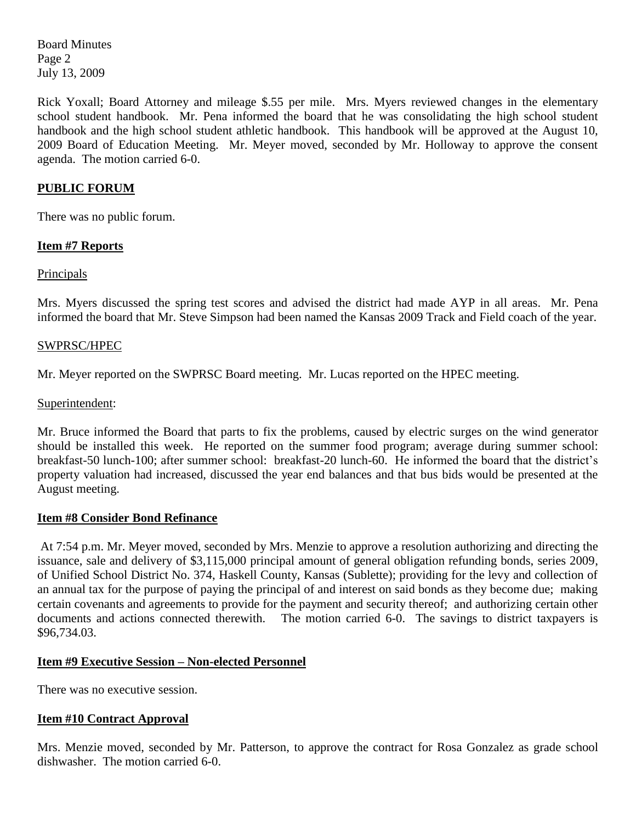Board Minutes Page 2 July 13, 2009

Rick Yoxall; Board Attorney and mileage \$.55 per mile. Mrs. Myers reviewed changes in the elementary school student handbook. Mr. Pena informed the board that he was consolidating the high school student handbook and the high school student athletic handbook. This handbook will be approved at the August 10, 2009 Board of Education Meeting. Mr. Meyer moved, seconded by Mr. Holloway to approve the consent agenda. The motion carried 6-0.

## **PUBLIC FORUM**

There was no public forum.

### **Item #7 Reports**

### **Principals**

Mrs. Myers discussed the spring test scores and advised the district had made AYP in all areas. Mr. Pena informed the board that Mr. Steve Simpson had been named the Kansas 2009 Track and Field coach of the year.

#### SWPRSC/HPEC

Mr. Meyer reported on the SWPRSC Board meeting. Mr. Lucas reported on the HPEC meeting.

#### Superintendent:

Mr. Bruce informed the Board that parts to fix the problems, caused by electric surges on the wind generator should be installed this week. He reported on the summer food program; average during summer school: breakfast-50 lunch-100; after summer school: breakfast-20 lunch-60. He informed the board that the district's property valuation had increased, discussed the year end balances and that bus bids would be presented at the August meeting.

#### **Item #8 Consider Bond Refinance**

At 7:54 p.m. Mr. Meyer moved, seconded by Mrs. Menzie to approve a resolution authorizing and directing the issuance, sale and delivery of \$3,115,000 principal amount of general obligation refunding bonds, series 2009, of Unified School District No. 374, Haskell County, Kansas (Sublette); providing for the levy and collection of an annual tax for the purpose of paying the principal of and interest on said bonds as they become due; making certain covenants and agreements to provide for the payment and security thereof; and authorizing certain other documents and actions connected therewith. The motion carried 6-0. The savings to district taxpayers is \$96,734.03.

#### **Item #9 Executive Session – Non-elected Personnel**

There was no executive session.

#### **Item #10 Contract Approval**

Mrs. Menzie moved, seconded by Mr. Patterson, to approve the contract for Rosa Gonzalez as grade school dishwasher. The motion carried 6-0.